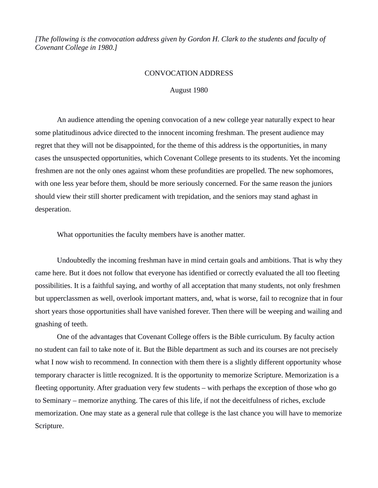*[The following is the convocation address given by Gordon H. Clark to the students and faculty of Covenant College in 1980.]*

## CONVOCATION ADDRESS

## August 1980

An audience attending the opening convocation of a new college year naturally expect to hear some platitudinous advice directed to the innocent incoming freshman. The present audience may regret that they will not be disappointed, for the theme of this address is the opportunities, in many cases the unsuspected opportunities, which Covenant College presents to its students. Yet the incoming freshmen are not the only ones against whom these profundities are propelled. The new sophomores, with one less year before them, should be more seriously concerned. For the same reason the juniors should view their still shorter predicament with trepidation, and the seniors may stand aghast in desperation.

What opportunities the faculty members have is another matter.

Undoubtedly the incoming freshman have in mind certain goals and ambitions. That is why they came here. But it does not follow that everyone has identified or correctly evaluated the all too fleeting possibilities. It is a faithful saying, and worthy of all acceptation that many students, not only freshmen but upperclassmen as well, overlook important matters, and, what is worse, fail to recognize that in four short years those opportunities shall have vanished forever. Then there will be weeping and wailing and gnashing of teeth.

One of the advantages that Covenant College offers is the Bible curriculum. By faculty action no student can fail to take note of it. But the Bible department as such and its courses are not precisely what I now wish to recommend. In connection with them there is a slightly different opportunity whose temporary character is little recognized. It is the opportunity to memorize Scripture. Memorization is a fleeting opportunity. After graduation very few students – with perhaps the exception of those who go to Seminary – memorize anything. The cares of this life, if not the deceitfulness of riches, exclude memorization. One may state as a general rule that college is the last chance you will have to memorize Scripture.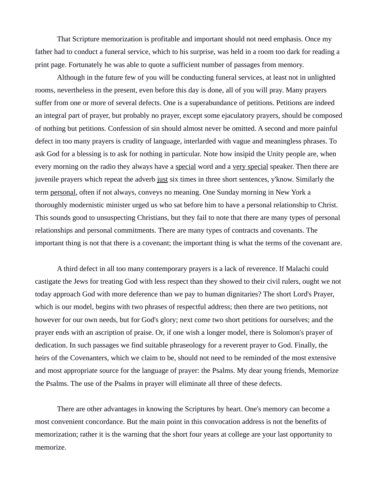That Scripture memorization is profitable and important should not need emphasis. Once my father had to conduct a funeral service, which to his surprise, was held in a room too dark for reading a print page. Fortunately he was able to quote a sufficient number of passages from memory.

Although in the future few of you will be conducting funeral services, at least not in unlighted rooms, nevertheless in the present, even before this day is done, all of you will pray. Many prayers suffer from one or more of several defects. One is a superabundance of petitions. Petitions are indeed an integral part of prayer, but probably no prayer, except some ejaculatory prayers, should be composed of nothing but petitions. Confession of sin should almost never be omitted. A second and more painful defect in too many prayers is crudity of language, interlarded with vague and meaningless phrases. To ask God for a blessing is to ask for nothing in particular. Note how insipid the Unity people are, when every morning on the radio they always have a special word and a very special speaker. Then there are juvenile prayers which repeat the adverb just six times in three short sentences, y'know. Similarly the term personal, often if not always, conveys no meaning. One Sunday morning in New York a thoroughly modernistic minister urged us who sat before him to have a personal relationship to Christ. This sounds good to unsuspecting Christians, but they fail to note that there are many types of personal relationships and personal commitments. There are many types of contracts and covenants. The important thing is not that there is a covenant; the important thing is what the terms of the covenant are.

A third defect in all too many contemporary prayers is a lack of reverence. If Malachi could castigate the Jews for treating God with less respect than they showed to their civil rulers, ought we not today approach God with more deference than we pay to human dignitaries? The short Lord's Prayer, which is our model, begins with two phrases of respectful address; then there are two petitions, not however for our own needs, but for God's glory; next come two short petitions for ourselves; and the prayer ends with an ascription of praise. Or, if one wish a longer model, there is Solomon's prayer of dedication. In such passages we find suitable phraseology for a reverent prayer to God. Finally, the heirs of the Covenanters, which we claim to be, should not need to be reminded of the most extensive and most appropriate source for the language of prayer: the Psalms. My dear young friends, Memorize the Psalms. The use of the Psalms in prayer will eliminate all three of these defects.

There are other advantages in knowing the Scriptures by heart. One's memory can become a most convenient concordance. But the main point in this convocation address is not the benefits of memorization; rather it is the warning that the short four years at college are your last opportunity to memorize.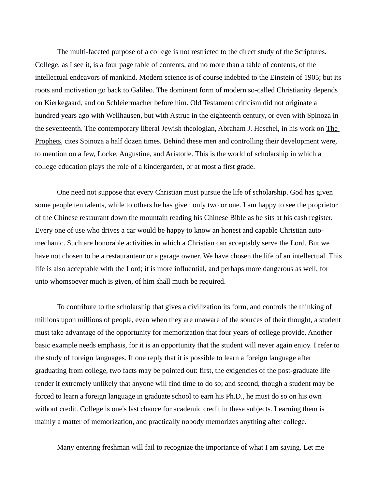The multi-faceted purpose of a college is not restricted to the direct study of the Scriptures. College, as I see it, is a four page table of contents, and no more than a table of contents, of the intellectual endeavors of mankind. Modern science is of course indebted to the Einstein of 1905; but its roots and motivation go back to Galileo. The dominant form of modern so-called Christianity depends on Kierkegaard, and on Schleiermacher before him. Old Testament criticism did not originate a hundred years ago with Wellhausen, but with Astruc in the eighteenth century, or even with Spinoza in the seventeenth. The contemporary liberal Jewish theologian, Abraham J. Heschel, in his work on The Prophets, cites Spinoza a half dozen times. Behind these men and controlling their development were, to mention on a few, Locke, Augustine, and Aristotle. This is the world of scholarship in which a college education plays the role of a kindergarden, or at most a first grade.

One need not suppose that every Christian must pursue the life of scholarship. God has given some people ten talents, while to others he has given only two or one. I am happy to see the proprietor of the Chinese restaurant down the mountain reading his Chinese Bible as he sits at his cash register. Every one of use who drives a car would be happy to know an honest and capable Christian automechanic. Such are honorable activities in which a Christian can acceptably serve the Lord. But we have not chosen to be a restauranteur or a garage owner. We have chosen the life of an intellectual. This life is also acceptable with the Lord; it is more influential, and perhaps more dangerous as well, for unto whomsoever much is given, of him shall much be required.

To contribute to the scholarship that gives a civilization its form, and controls the thinking of millions upon millions of people, even when they are unaware of the sources of their thought, a student must take advantage of the opportunity for memorization that four years of college provide. Another basic example needs emphasis, for it is an opportunity that the student will never again enjoy. I refer to the study of foreign languages. If one reply that it is possible to learn a foreign language after graduating from college, two facts may be pointed out: first, the exigencies of the post-graduate life render it extremely unlikely that anyone will find time to do so; and second, though a student may be forced to learn a foreign language in graduate school to earn his Ph.D., he must do so on his own without credit. College is one's last chance for academic credit in these subjects. Learning them is mainly a matter of memorization, and practically nobody memorizes anything after college.

Many entering freshman will fail to recognize the importance of what I am saying. Let me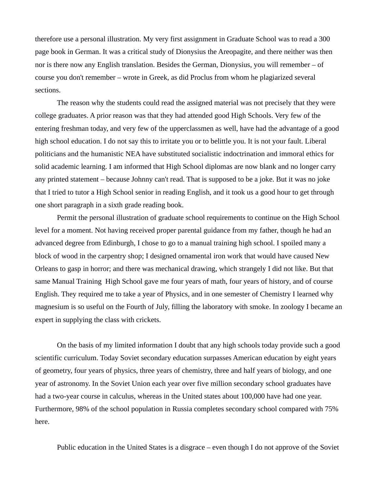therefore use a personal illustration. My very first assignment in Graduate School was to read a 300 page book in German. It was a critical study of Dionysius the Areopagite, and there neither was then nor is there now any English translation. Besides the German, Dionysius, you will remember – of course you don't remember – wrote in Greek, as did Proclus from whom he plagiarized several sections.

The reason why the students could read the assigned material was not precisely that they were college graduates. A prior reason was that they had attended good High Schools. Very few of the entering freshman today, and very few of the upperclassmen as well, have had the advantage of a good high school education. I do not say this to irritate you or to belittle you. It is not your fault. Liberal politicians and the humanistic NEA have substituted socialistic indoctrination and immoral ethics for solid academic learning. I am informed that High School diplomas are now blank and no longer carry any printed statement – because Johnny can't read. That is supposed to be a joke. But it was no joke that I tried to tutor a High School senior in reading English, and it took us a good hour to get through one short paragraph in a sixth grade reading book.

Permit the personal illustration of graduate school requirements to continue on the High School level for a moment. Not having received proper parental guidance from my father, though he had an advanced degree from Edinburgh, I chose to go to a manual training high school. I spoiled many a block of wood in the carpentry shop; I designed ornamental iron work that would have caused New Orleans to gasp in horror; and there was mechanical drawing, which strangely I did not like. But that same Manual Training High School gave me four years of math, four years of history, and of course English. They required me to take a year of Physics, and in one semester of Chemistry I learned why magnesium is so useful on the Fourth of July, filling the laboratory with smoke. In zoology I became an expert in supplying the class with crickets.

On the basis of my limited information I doubt that any high schools today provide such a good scientific curriculum. Today Soviet secondary education surpasses American education by eight years of geometry, four years of physics, three years of chemistry, three and half years of biology, and one year of astronomy. In the Soviet Union each year over five million secondary school graduates have had a two-year course in calculus, whereas in the United states about 100,000 have had one year. Furthermore, 98% of the school population in Russia completes secondary school compared with 75% here.

Public education in the United States is a disgrace – even though I do not approve of the Soviet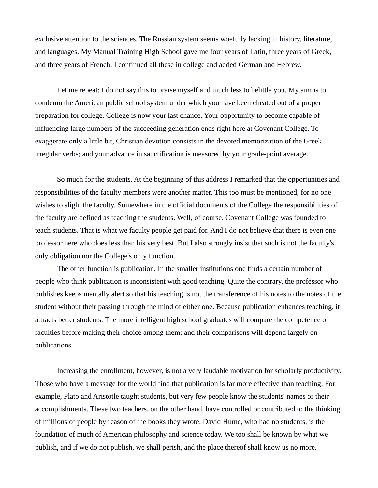exclusive attention to the sciences. The Russian system seems woefully lacking in history, literature, and languages. My Manual Training High School gave me four years of Latin, three years of Greek, and three years of French. I continued all these in college and added German and Hebrew.

Let me repeat: I do not say this to praise myself and much less to belittle you. My aim is to condemn the American public school system under which you have been cheated out of a proper preparation for college. College is now your last chance. Your opportunity to become capable of influencing large numbers of the succeeding generation ends right here at Covenant College. To exaggerate only a little bit, Christian devotion consists in the devoted memorization of the Greek irregular verbs; and your advance in sanctification is measured by your grade-point average.

So much for the students. At the beginning of this address I remarked that the opportunities and responsibilities of the faculty members were another matter. This too must be mentioned, for no one wishes to slight the faculty. Somewhere in the official documents of the College the responsibilities of the faculty are defined as teaching the students. Well, of course. Covenant College was founded to teach students. That is what we faculty people get paid for. And I do not believe that there is even one professor here who does less than his very best. But I also strongly insist that such is not the faculty's only obligation nor the College's only function.

The other function is publication. In the smaller institutions one finds a certain number of people who think publication is inconsistent with good teaching. Quite the contrary, the professor who publishes keeps mentally alert so that his teaching is not the transference of his notes to the notes of the student without their passing through the mind of either one. Because publication enhances teaching, it attracts better students. The more intelligent high school graduates will compare the competence of faculties before making their choice among them; and their comparisons will depend largely on publications.

Increasing the enrollment, however, is not a very laudable motivation for scholarly productivity. Those who have a message for the world find that publication is far more effective than teaching. For example, Plato and Aristotle taught students, but very few people know the students' names or their accomplishments. These two teachers, on the other hand, have controlled or contributed to the thinking of millions of people by reason of the books they wrote. David Hume, who had no students, is the foundation of much of American philosophy and science today. We too shall be known by what we publish, and if we do not publish, we shall perish, and the place thereof shall know us no more.